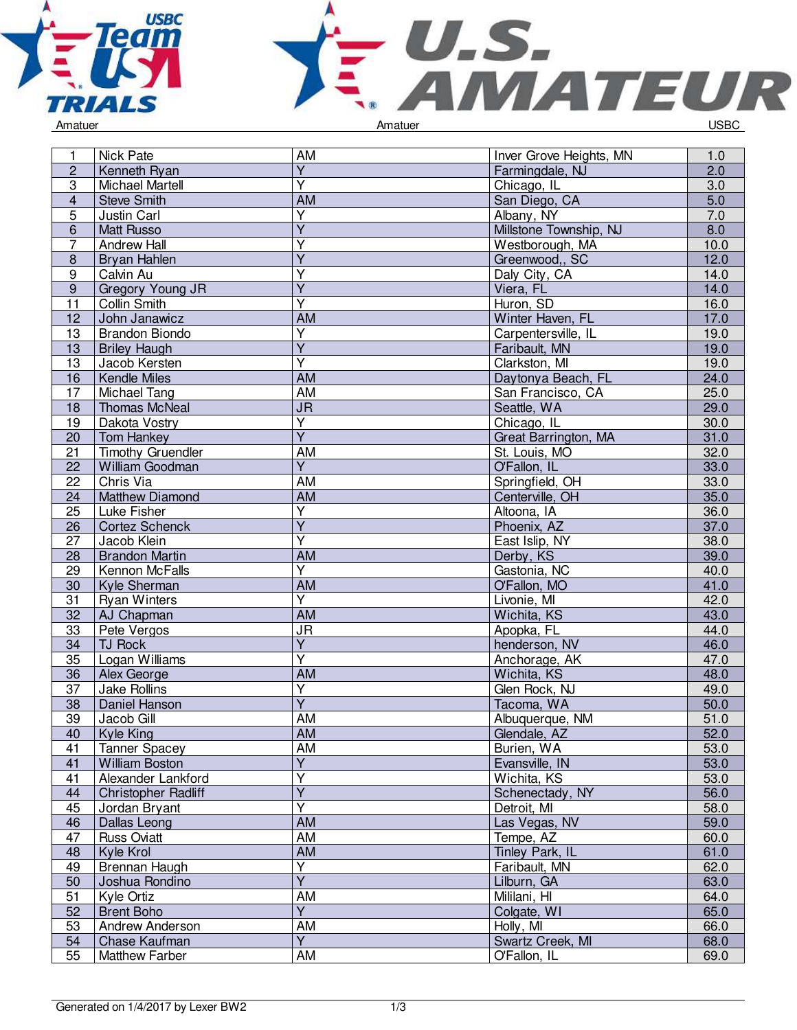



| 1                       | <b>Nick Pate</b>         | <b>AM</b>                         | Inver Grove Heights, MN | 1.0              |
|-------------------------|--------------------------|-----------------------------------|-------------------------|------------------|
| $\overline{c}$          | Kenneth Ryan             | $\overline{\mathsf{Y}}$           | Farmingdale, NJ         | 2.0              |
| $\overline{3}$          | <b>Michael Martell</b>   | $\overline{\mathsf{Y}}$           | Chicago, IL             | $\overline{3.0}$ |
| $\overline{\mathbf{4}}$ | <b>Steve Smith</b>       | <b>AM</b>                         | San Diego, CA           | $\overline{5.0}$ |
| 5                       | Justin Carl              | Y                                 | Albany, NY              | 7.0              |
| 6                       | <b>Matt Russo</b>        | $\overline{Y}$                    | Millstone Township, NJ  | 8.0              |
| $\overline{7}$          | <b>Andrew Hall</b>       | Y                                 | Westborough, MA         | 10.0             |
| $\bf 8$                 | Bryan Hahlen             | $\overline{Y}$                    | Greenwood,, SC          | 12.0             |
| $\boldsymbol{9}$        | Calvin Au                | Υ                                 | Daly City, CA           | 14.0             |
| $\overline{9}$          | Gregory Young JR         | $\overline{Y}$                    | Viera, FL               | 14.0             |
| $\overline{11}$         | <b>Collin Smith</b>      | $\overline{\mathsf{Y}}$           | Huron, SD               | 16.0             |
| 12                      | John Janawicz            | <b>AM</b>                         | Winter Haven, FL        | 17.0             |
| 13                      | <b>Brandon Biondo</b>    | $\overline{\mathsf{Y}}$           | Carpentersville, IL     | 19.0             |
| 13                      | <b>Briley Haugh</b>      | $\overline{Y}$                    | Faribault, MN           | 19.0             |
| 13                      | Jacob Kersten            | $\overline{\mathsf{Y}}$           | Clarkston, MI           | 19.0             |
| 16                      | Kendle Miles             | <b>AM</b>                         | Daytonya Beach, FL      | 24.0             |
| 17                      | Michael Tang             | <b>AM</b>                         | San Francisco, CA       | 25.0             |
| 18                      | <b>Thomas McNeal</b>     | $\overline{\mathsf{J}\mathsf{R}}$ | Seattle, WA             | 29.0             |
| 19                      | Dakota Vostry            | $\overline{Y}$                    | Chicago, IL             | 30.0             |
| 20                      | <b>Tom Hankey</b>        | $\overline{Y}$                    | Great Barrington, MA    | 31.0             |
| 21                      | <b>Timothy Gruendler</b> | AM                                | St. Louis, MO           | 32.0             |
| 22                      | William Goodman          | $\overline{Y}$                    | O'Fallon, IL            | 33.0             |
| 22                      | Chris Via                | <b>AM</b>                         | Springfield, OH         | 33.0             |
|                         | <b>Matthew Diamond</b>   | <b>AM</b>                         |                         | 35.0             |
| 24                      |                          | $\overline{\mathsf{Y}}$           | Centerville, OH         |                  |
| 25                      | Luke Fisher              | $\overline{Y}$                    | Altoona, IA             | 36.0             |
| 26                      | <b>Cortez Schenck</b>    |                                   | Phoenix, AZ             | 37.0             |
| 27                      | Jacob Klein              | $\overline{\mathsf{Y}}$           | East Islip, NY          | 38.0             |
| 28                      | <b>Brandon Martin</b>    | <b>AM</b>                         | Derby, KS               | 39.0             |
| 29                      | Kennon McFalls           | Y                                 | Gastonia, NC            | 40.0             |
| 30                      | Kyle Sherman             | <b>AM</b>                         | O'Fallon, MO            | 41.0             |
| 31                      | <b>Ryan Winters</b>      | $\overline{\mathsf{Y}}$           | Livonie, MI             | 42.0             |
| 32                      | AJ Chapman               | <b>AM</b>                         | Wichita, KS             | 43.0             |
| 33                      | Pete Vergos              | $\overline{\mathsf{J}\mathsf{R}}$ | Apopka, FL              | 44.0             |
| 34                      | <b>TJ Rock</b>           | $\overline{Y}$                    | henderson, NV           | 46.0             |
| 35                      | Logan Williams           | $\overline{\mathsf{Y}}$           | Anchorage, AK           | 47.0             |
| 36                      | Alex George              | <b>AM</b>                         | Wichita, KS             | 48.0             |
| 37                      | Jake Rollins             | $\overline{Y}$                    | Glen Rock, NJ           | 49.0             |
| 38                      | Daniel Hanson            | $\overline{\mathsf{Y}}$           | Tacoma, WA              | 50.0             |
| 39                      | Jacob Gill               | AM                                | Albuquerque, NM         | 51.0             |
| 40                      | Kyle King                | <b>AM</b>                         | Glendale, AZ            | 52.0             |
| 41                      | <b>Tanner Spacey</b>     | <b>AM</b>                         | Burien, WA              | 53.0             |
| 41                      | William Boston           | $\overline{Y}$                    | Evansville, IN          | 53.0             |
| 41                      | Alexander Lankford       | $\overline{\mathsf{Y}}$           | Wichita, KS             | 53.0             |
| 44                      | Christopher Radliff      | $\overline{Y}$                    | Schenectady, NY         | 56.0             |
| 45                      | Jordan Bryant            | $\overline{\mathsf{Y}}$           | Detroit, MI             | 58.0             |
| 46                      | Dallas Leong             | <b>AM</b>                         | Las Vegas, NV           | 59.0             |
| 47                      | <b>Russ Oviatt</b>       | AM                                | Tempe, AZ               | 60.0             |
| 48                      | Kyle Krol                | AM                                | Tinley Park, IL         | 61.0             |
| 49                      | Brennan Haugh            | Υ                                 | Faribault, MN           | 62.0             |
| 50                      | Joshua Rondino           | $\overline{Y}$                    | Lilburn, GA             | 63.0             |
| 51                      | Kyle Ortiz               | <b>AM</b>                         | Mililani, HI            | 64.0             |
| 52                      | <b>Brent Boho</b>        | $\overline{Y}$                    | Colgate, WI             | 65.0             |
| 53                      | Andrew Anderson          | $\overline{AM}$                   | Holly, MI               | 66.0             |
| 54                      | Chase Kaufman            | $\overline{Y}$                    | Swartz Creek, MI        | 68.0             |
| 55                      | Matthew Farber           | AM                                | O'Fallon, IL            | 69.0             |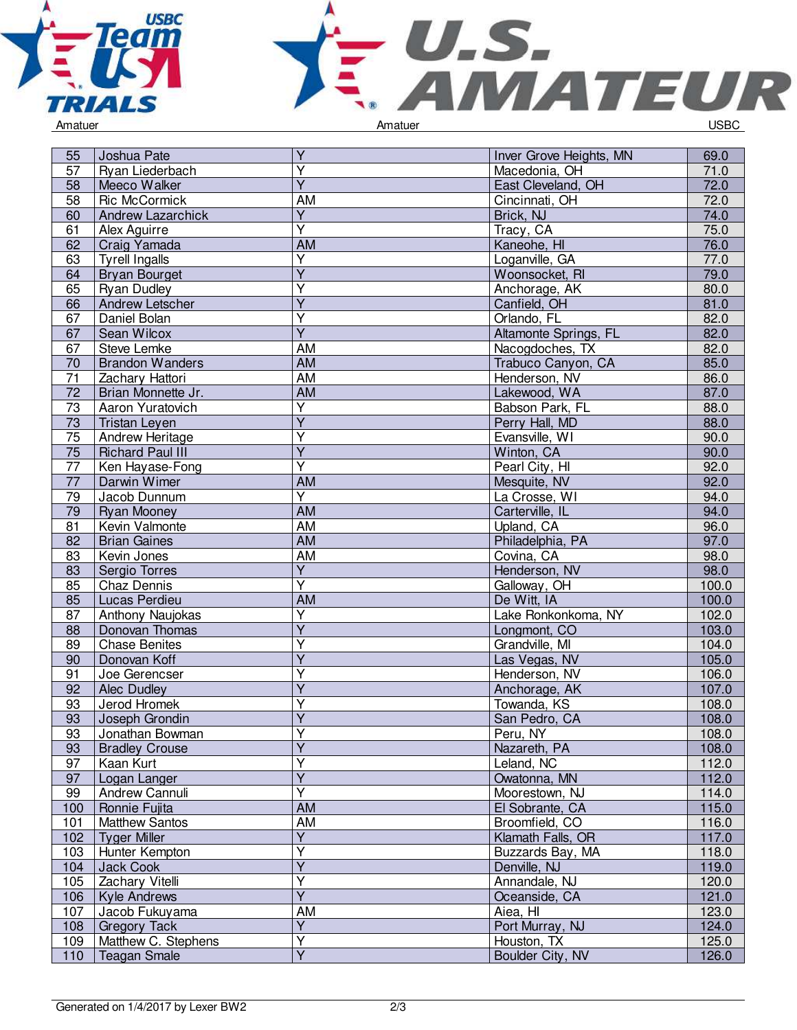



| 55              | Joshua Pate              | Y                       | Inver Grove Heights, MN | 69.0  |
|-----------------|--------------------------|-------------------------|-------------------------|-------|
| 57              | Ryan Liederbach          | $\overline{\mathsf{Y}}$ | Macedonia, OH           | 71.0  |
| 58              | Meeco Walker             | $\overline{Y}$          | East Cleveland, OH      | 72.0  |
| 58              | <b>Ric McCormick</b>     | AM                      | Cincinnati, OH          | 72.0  |
| 60              | <b>Andrew Lazarchick</b> | $\overline{Y}$          | Brick, NJ               | 74.0  |
| 61              | Alex Aguirre             | $\overline{\mathsf{Y}}$ | Tracy, CA               | 75.0  |
| 62              | Craig Yamada             | AM                      | Kaneohe, HI             | 76.0  |
| 63              | <b>Tyrell Ingalls</b>    | $\overline{Y}$          | Loganville, GA          | 77.0  |
| 64              | <b>Bryan Bourget</b>     | $\overline{Y}$          | Woonsocket, RI          | 79.0  |
| 65              | <b>Ryan Dudley</b>       | $\overline{\mathsf{Y}}$ | Anchorage, AK           | 80.0  |
| 66              | <b>Andrew Letscher</b>   | $\overline{Y}$          | Canfield, OH            | 81.0  |
| 67              | Daniel Bolan             | $\overline{\mathsf{Y}}$ | Orlando, FL             | 82.0  |
| 67              | Sean Wilcox              | $\overline{Y}$          | Altamonte Springs, FL   | 82.0  |
| 67              | Steve Lemke              | AM                      | Nacogdoches, TX         | 82.0  |
| 70              | <b>Brandon Wanders</b>   | <b>AM</b>               | Trabuco Canyon, CA      | 85.0  |
| 71              | Zachary Hattori          | AM                      | Henderson, NV           | 86.0  |
| $\overline{72}$ | Brian Monnette Jr.       | AM                      | Lakewood, WA            | 87.0  |
| $\overline{73}$ | Aaron Yuratovich         | $\overline{\mathsf{Y}}$ | Babson Park, FL         | 88.0  |
| 73              | <b>Tristan Leyen</b>     | $\overline{Y}$          | Perry Hall, MD          | 88.0  |
| 75              | Andrew Heritage          | $\overline{\mathsf{Y}}$ | Evansville, WI          | 90.0  |
| 75              | <b>Richard Paul III</b>  | $\overline{\mathsf{Y}}$ | Winton, CA              | 90.0  |
| $\overline{77}$ | Ken Hayase-Fong          | $\overline{\mathsf{Y}}$ | Pearl City, HI          | 92.0  |
| $\overline{77}$ | Darwin Wimer             | <b>AM</b>               | Mesquite, NV            | 92.0  |
| 79              | Jacob Dunnum             | $\overline{Y}$          | La Crosse, WI           | 94.0  |
| 79              | <b>Ryan Mooney</b>       | <b>AM</b>               | Carterville, IL         | 94.0  |
| 81              | Kevin Valmonte           | AM                      | Upland, CA              | 96.0  |
| 82              | <b>Brian Gaines</b>      | <b>AM</b>               | Philadelphia, PA        | 97.0  |
| 83              | Kevin Jones              | <b>AM</b>               | Covina, CA              | 98.0  |
| 83              | Sergio Torres            | $\overline{Y}$          | Henderson, NV           | 98.0  |
| 85              | Chaz Dennis              | $\overline{\mathsf{Y}}$ | Galloway, OH            | 100.0 |
| 85              | Lucas Perdieu            | AM                      | De Witt, IA             | 100.0 |
| 87              | Anthony Naujokas         | $\overline{Y}$          | Lake Ronkonkoma, NY     | 102.0 |
| 88              | Donovan Thomas           | $\overline{Y}$          | Longmont, CO            | 103.0 |
| 89              | <b>Chase Benites</b>     | Y                       | Grandville, MI          | 104.0 |
| 90              | Donovan Koff             | $\overline{Y}$          | Las Vegas, NV           | 105.0 |
| 91              | Joe Gerencser            | Υ                       | Henderson, NV           | 106.0 |
| 92              | Alec Dudley              | $\overline{Y}$          | Anchorage, AK           | 107.0 |
| 93              | Jerod Hromek             | $\overline{\mathsf{Y}}$ | Towanda, KS             | 108.0 |
| 93              | Joseph Grondin           | Y                       | San Pedro, CA           | 108.0 |
| 93              | Jonathan Bowman          | $\overline{Y}$          | Peru, NY                | 108.0 |
| 93              | <b>Bradley Crouse</b>    | $\overline{\mathsf{Y}}$ | Nazareth, PA            | 108.0 |
| 97              | Kaan Kurt                | $\overline{\mathsf{Y}}$ | Leland, NC              | 112.0 |
| 97              | Logan Langer             | $\overline{Y}$          | Owatonna, MN            | 112.0 |
| 99              | Andrew Cannuli           | Y                       | Moorestown, NJ          | 114.0 |
| 100             | Ronnie Fujita            | AM                      | El Sobrante, CA         | 115.0 |
| 101             | <b>Matthew Santos</b>    | AM                      | Broomfield, CO          | 116.0 |
| 102             | <b>Tyger Miller</b>      | $\overline{Y}$          | Klamath Falls, OR       | 117.0 |
| 103             | Hunter Kempton           | $\overline{Y}$          | Buzzards Bay, MA        | 118.0 |
| 104             | Jack Cook                | $\overline{Y}$          | Denville, NJ            | 119.0 |
| 105             | Zachary Vitelli          | $\overline{\mathsf{Y}}$ | Annandale, NJ           | 120.0 |
| 106             | <b>Kyle Andrews</b>      | $\overline{Y}$          | Oceanside, CA           | 121.0 |
| 107             | Jacob Fukuyama           | <b>AM</b>               | Aiea, HI                | 123.0 |
| 108             | <b>Gregory Tack</b>      | $\overline{Y}$          | Port Murray, NJ         | 124.0 |
| 109             | Matthew C. Stephens      | $\overline{\mathsf{Y}}$ | Houston, TX             | 125.0 |
| 110             | <b>Teagan Smale</b>      | $\overline{Y}$          | Boulder City, NV        | 126.0 |
|                 |                          |                         |                         |       |